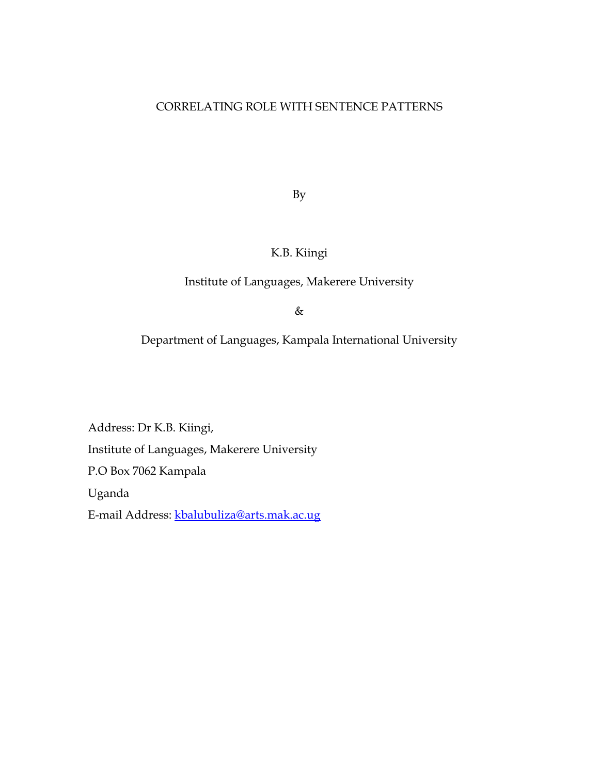#### CORRELATING ROLE WITH SENTENCE PATTERNS

By

## K.B. Kiingi

### Institute of Languages, Makerere University

&

Department of Languages, Kampala International University

Address: Dr K.B. Kiingi, Institute of Languages, Makerere University P.O Box 7062 Kampala Uganda E-mail Address: kbalubuliza@arts.mak.ac.ug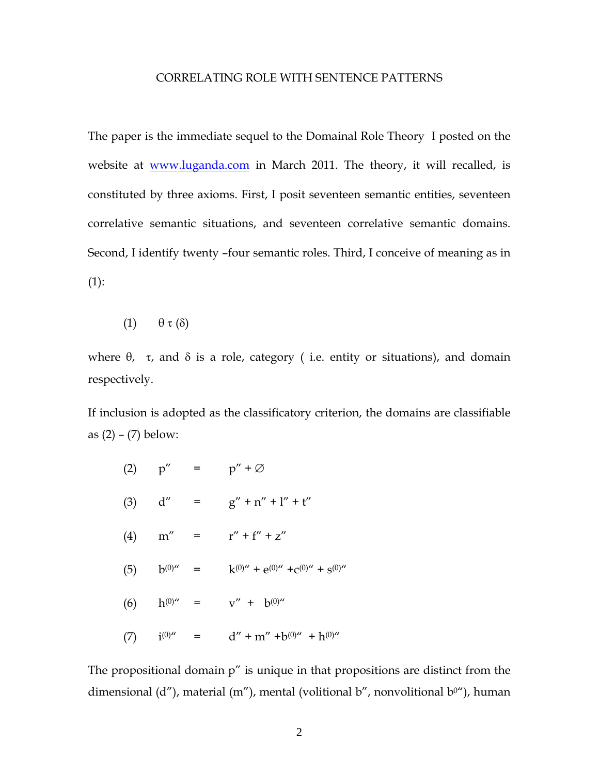#### CORRELATING ROLE WITH SENTENCE PATTERNS

The paper is the immediate sequel to the Domainal Role Theory I posted on the website at **www.luganda.com** in March 2011. The theory, it will recalled, is constituted by three axioms. First, I posit seventeen semantic entities, seventeen correlative semantic situations, and seventeen correlative semantic domains. Second, I identify twenty –four semantic roles. Third, I conceive of meaning as in (1):

(1)  $\theta \tau (\delta)$ 

where  $θ$ , τ, and  $δ$  is a role, category ( i.e. entity or situations), and domain respectively.

If inclusion is adopted as the classificatory criterion, the domains are classifiable as  $(2) - (7)$  below:

|          | $(2)$ $p'' =$ |                                                                                                                                                                                                                                                                                                                                                                                              | $p'' + \varnothing$                                               |
|----------|---------------|----------------------------------------------------------------------------------------------------------------------------------------------------------------------------------------------------------------------------------------------------------------------------------------------------------------------------------------------------------------------------------------------|-------------------------------------------------------------------|
| $(3)$ d" |               | $\frac{1}{2} \frac{1}{2} \frac{1}{2} \frac{1}{2} \frac{1}{2} \frac{1}{2} \frac{1}{2} \frac{1}{2} \frac{1}{2} \frac{1}{2} \frac{1}{2} \frac{1}{2} \frac{1}{2} \frac{1}{2} \frac{1}{2} \frac{1}{2} \frac{1}{2} \frac{1}{2} \frac{1}{2} \frac{1}{2} \frac{1}{2} \frac{1}{2} \frac{1}{2} \frac{1}{2} \frac{1}{2} \frac{1}{2} \frac{1}{2} \frac{1}{2} \frac{1}{2} \frac{1}{2} \frac{1}{2} \frac{$ | $g'' + n'' + l'' + t''$                                           |
|          | $(4)$ m'' =   |                                                                                                                                                                                                                                                                                                                                                                                              | $r'' + f'' + z''$                                                 |
|          |               |                                                                                                                                                                                                                                                                                                                                                                                              | (5) $b^{(0)''}$ = $k^{(0)''} + e^{(0)''} + c^{(0)''} + s^{(0)''}$ |
| (6)      | $h^{(0)''}$ = |                                                                                                                                                                                                                                                                                                                                                                                              | $v'' + b^{(0)''}$                                                 |
| (7)      | $i^{(0)''}$   | $\overline{\phantom{0}}$ =                                                                                                                                                                                                                                                                                                                                                                   | $d'' + m'' + b^{(0)''} + h^{(0)''}$                               |

The propositional domain p" is unique in that propositions are distinct from the dimensional (d"), material (m"), mental (volitional b", nonvolitional  $b^{0}$ "), human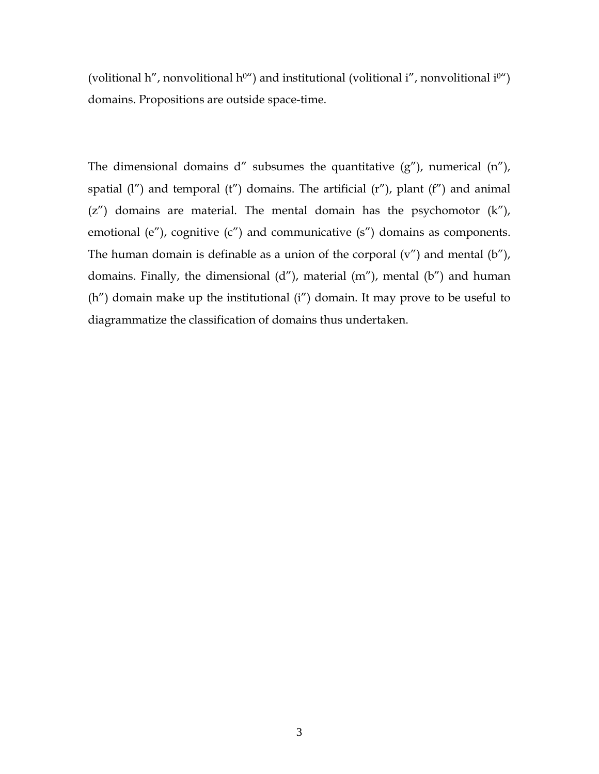(volitional h'', nonvolitional h<sup>0"</sup>) and institutional (volitional i'', nonvolitional i<sup>0"</sup>) domains. Propositions are outside space-time.

The dimensional domains  $d''$  subsumes the quantitative  $(g'')$ , numerical  $(n'')$ , spatial  $(1'')$  and temporal  $(t'')$  domains. The artificial  $(r'')$ , plant  $(f'')$  and animal  $(z'')$  domains are material. The mental domain has the psychomotor  $(k'')$ , emotional (e"), cognitive (c") and communicative (s") domains as components. The human domain is definable as a union of the corporal  $(v'')$  and mental  $(b'')$ , domains. Finally, the dimensional (d"), material (m"), mental (b") and human (h") domain make up the institutional (i") domain. It may prove to be useful to diagrammatize the classification of domains thus undertaken.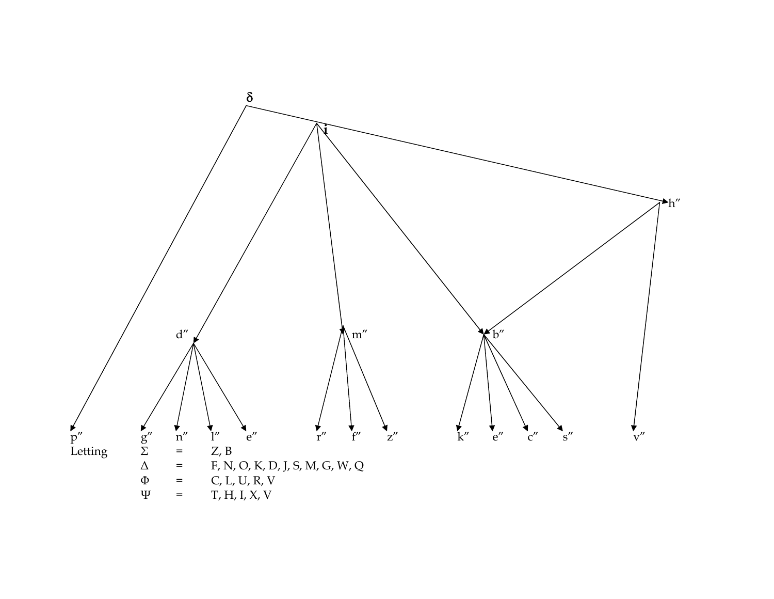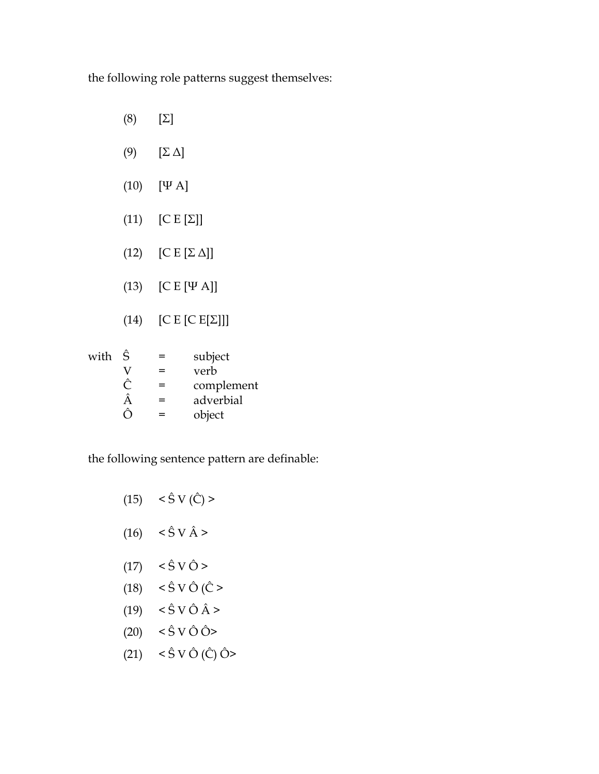the following role patterns suggest themselves:

- (8) [Σ]
- (9) [Σ Δ]
- (10) [Ψ Α]
- (11)  $[C E[\Sigma]]$
- (12)  $[C E [\Sigma \Delta]]$
- (13) [C E [Ψ Α]]
- (14)  $[C E [C E \mathbf{Z}]]]$

| with | Ŝ | $=$ | subject    |
|------|---|-----|------------|
|      |   | $=$ | verb       |
|      |   | $=$ | complement |
|      |   | $=$ | adverbial  |
|      |   | $=$ | object     |

# the following sentence pattern are definable:

| (15) | $< \hat{S}$ V ( $\hat{C}$ ) >              |
|------|--------------------------------------------|
| (16) | $<\hat{\textrm{S}}$ V $\hat{\textrm{A}}$ > |
| (17) | $<\hat{S}$ V $\hat{O}$ >                   |
| (18) | $\langle$ Ŝ V Ô (Ĉ >                       |
| (19) | $\langle$ Ŝ V Ô Â >                        |
| (20) | $<\hat{S}$ V Ô Ô>                          |
| (21) | $<\hat{S}$ V Ô (Ĉ) Ô>                      |
|      |                                            |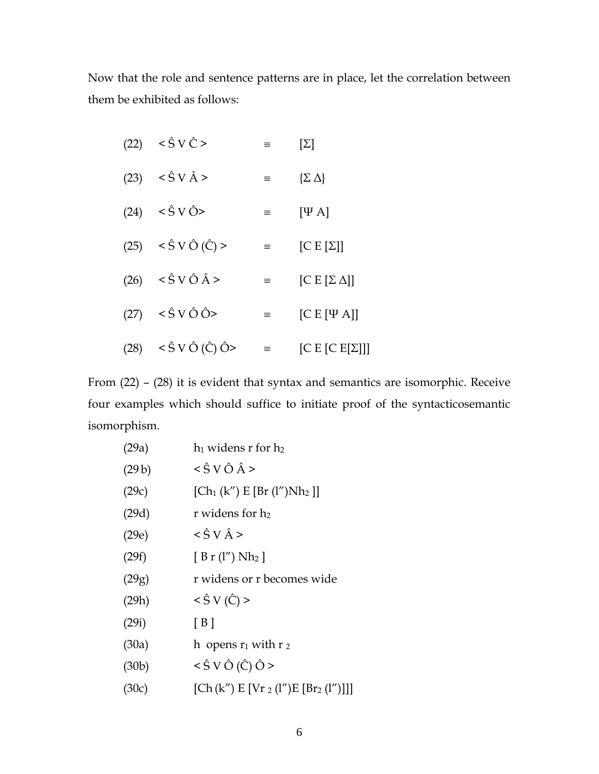Now that the role and sentence patterns are in place, let the correlation between them be exhibited as follows:

| (22) | $\langle$ S V $\hat{C}$ >                       | ≡        | $[\Sigma]$              |
|------|-------------------------------------------------|----------|-------------------------|
| (23) | $\langle \hat{S} V \hat{A} \rangle$             | $\equiv$ | $\{\Sigma \Delta\}$     |
|      | $(24) < \hat{S} \text{ V} \hat{O}$              | $\equiv$ | $[\Psi A]$              |
|      | $(25) \quad < \hat{S} \vee \hat{O} \hat{C} >$   | $\equiv$ | $[C E[\Sigma]]$         |
|      | $(26) \quad < \hat{S} \vee \hat{O} \hat{A} >$   | $\equiv$ | $[C E [\Sigma \Delta]]$ |
| (27) | $\langle$ Ŝ V Ô Ô $>$                           | $\equiv$ | $[C E [\Psi A]]$        |
| (28) | $< \hat{S}$ V $\hat{O}$ ( $\hat{C}$ ) $\hat{O}$ | $\equiv$ | [C E [C E [Z]]]         |

From (22) – (28) it is evident that syntax and semantics are isomorphic. Receive four examples which should suffice to initiate proof of the syntacticosemantic isomorphism.

| (29a) | $h_1$ widens r for $h_2$                              |
|-------|-------------------------------------------------------|
| (29b) | $\langle$ Ŝ V Ô Â >                                   |
| (29c) | $[Ch_1(k'') E[Br (l'')Nh_2]]$                         |
| (29d) | r widens for h2                                       |
| (29e) | $\langle$ S V $\hat{A}$ >                             |
| (29f) | [ B r (l'') Nh <sub>2</sub> ]                         |
| (29g) | r widens or r becomes wide                            |
| (29h) | $< \hat{S} V(\hat{C}) >$                              |
| (29i) | [B]                                                   |
| (30a) | h opens $r_1$ with $r_2$                              |
| (30b) | $\langle \hat{S} V \hat{O} (\hat{C}) \hat{O} \rangle$ |
| (30c) | $[Ch (k'') E [Vr_2 (l'')E [Br_2 (l'')]]]$             |
|       |                                                       |